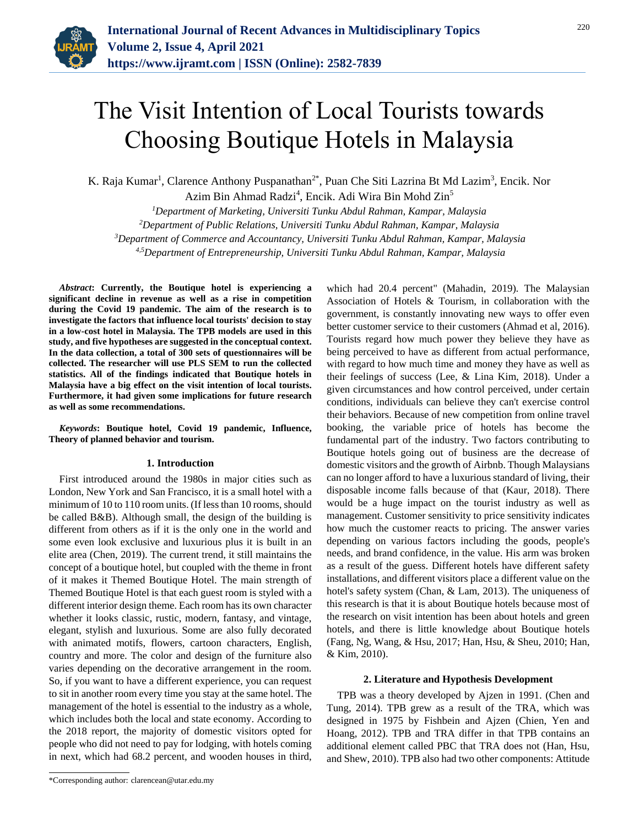

# The Visit Intention of Local Tourists towards Choosing Boutique Hotels in Malaysia

K. Raja Kumar<sup>1</sup>, Clarence Anthony Puspanathan<sup>2\*</sup>, Puan Che Siti Lazrina Bt Md Lazim<sup>3</sup>, Encik. Nor

Azim Bin Ahmad Radzi<sup>4</sup>, Encik. Adi Wira Bin Mohd Zin<sup>5</sup>

*Department of Marketing, Universiti Tunku Abdul Rahman, Kampar, Malaysia Department of Public Relations, Universiti Tunku Abdul Rahman, Kampar, Malaysia Department of Commerce and Accountancy, Universiti Tunku Abdul Rahman, Kampar, Malaysia 4,5Department of Entrepreneurship, Universiti Tunku Abdul Rahman, Kampar, Malaysia*

*Abstract***: Currently, the Boutique hotel is experiencing a significant decline in revenue as well as a rise in competition during the Covid 19 pandemic. The aim of the research is to investigate the factors that influence local tourists' decision to stay in a low-cost hotel in Malaysia. The TPB models are used in this study, and five hypotheses are suggested in the conceptual context. In the data collection, a total of 300 sets of questionnaires will be collected. The researcher will use PLS SEM to run the collected statistics. All of the findings indicated that Boutique hotels in Malaysia have a big effect on the visit intention of local tourists. Furthermore, it had given some implications for future research as well as some recommendations.**

*Keywords***: Boutique hotel, Covid 19 pandemic, Influence, Theory of planned behavior and tourism.**

### **1. Introduction**

First introduced around the 1980s in major cities such as London, New York and San Francisco, it is a small hotel with a minimum of 10 to 110 room units. (If less than 10 rooms, should be called B&B). Although small, the design of the building is different from others as if it is the only one in the world and some even look exclusive and luxurious plus it is built in an elite area (Chen, 2019). The current trend, it still maintains the concept of a boutique hotel, but coupled with the theme in front of it makes it Themed Boutique Hotel. The main strength of Themed Boutique Hotel is that each guest room is styled with a different interior design theme. Each room has its own character whether it looks classic, rustic, modern, fantasy, and vintage, elegant, stylish and luxurious. Some are also fully decorated with animated motifs, flowers, cartoon characters, English, country and more. The color and design of the furniture also varies depending on the decorative arrangement in the room. So, if you want to have a different experience, you can request to sit in another room every time you stay at the same hotel. The management of the hotel is essential to the industry as a whole, which includes both the local and state economy. According to the 2018 report, the majority of domestic visitors opted for people who did not need to pay for lodging, with hotels coming in next, which had 68.2 percent, and wooden houses in third,

\*Corresponding author: clarencean@utar.edu.my

which had 20.4 percent" (Mahadin, 2019). The Malaysian Association of Hotels & Tourism, in collaboration with the government, is constantly innovating new ways to offer even better customer service to their customers (Ahmad et al, 2016). Tourists regard how much power they believe they have as being perceived to have as different from actual performance, with regard to how much time and money they have as well as their feelings of success (Lee, & Lina Kim, 2018). Under a given circumstances and how control perceived, under certain conditions, individuals can believe they can't exercise control their behaviors. Because of new competition from online travel booking, the variable price of hotels has become the fundamental part of the industry. Two factors contributing to Boutique hotels going out of business are the decrease of domestic visitors and the growth of Airbnb. Though Malaysians can no longer afford to have a luxurious standard of living, their disposable income falls because of that (Kaur, 2018). There would be a huge impact on the tourist industry as well as management. Customer sensitivity to price sensitivity indicates how much the customer reacts to pricing. The answer varies depending on various factors including the goods, people's needs, and brand confidence, in the value. His arm was broken as a result of the guess. Different hotels have different safety installations, and different visitors place a different value on the hotel's safety system (Chan, & Lam, 2013). The uniqueness of this research is that it is about Boutique hotels because most of the research on visit intention has been about hotels and green hotels, and there is little knowledge about Boutique hotels (Fang, Ng, Wang, & Hsu, 2017; Han, Hsu, & Sheu, 2010; Han, & Kim, 2010).

#### **2. Literature and Hypothesis Development**

TPB was a theory developed by Ajzen in 1991. (Chen and Tung, 2014). TPB grew as a result of the TRA, which was designed in 1975 by Fishbein and Ajzen (Chien, Yen and Hoang, 2012). TPB and TRA differ in that TPB contains an additional element called PBC that TRA does not (Han, Hsu, and Shew, 2010). TPB also had two other components: Attitude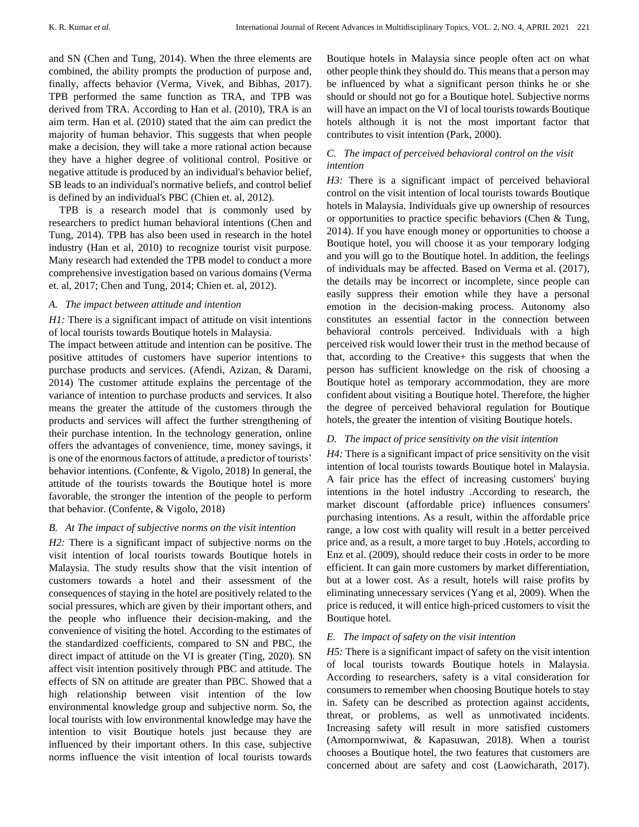and SN (Chen and Tung, 2014). When the three elements are combined, the ability prompts the production of purpose and, finally, affects behavior (Verma, Vivek, and Bibhas, 2017). TPB performed the same function as TRA, and TPB was derived from TRA. According to Han et al. (2010), TRA is an aim term. Han et al. (2010) stated that the aim can predict the majority of human behavior. This suggests that when people make a decision, they will take a more rational action because they have a higher degree of volitional control. Positive or negative attitude is produced by an individual's behavior belief, SB leads to an individual's normative beliefs, and control belief is defined by an individual's PBC (Chien et. al, 2012).

TPB is a research model that is commonly used by researchers to predict human behavioral intentions (Chen and Tung, 2014). TPB has also been used in research in the hotel industry (Han et al, 2010) to recognize tourist visit purpose. Many research had extended the TPB model to conduct a more comprehensive investigation based on various domains (Verma et. al, 2017; Chen and Tung, 2014; Chien et. al, 2012).

## *A. The impact between attitude and intention*

*H1:* There is a significant impact of attitude on visit intentions of local tourists towards Boutique hotels in Malaysia.

The impact between attitude and intention can be positive. The positive attitudes of customers have superior intentions to purchase products and services. (Afendi, Azizan, & Darami, 2014) The customer attitude explains the percentage of the variance of intention to purchase products and services. It also means the greater the attitude of the customers through the products and services will affect the further strengthening of their purchase intention. In the technology generation, online offers the advantages of convenience, time, money savings, it is one of the enormous factors of attitude, a predictor of tourists' behavior intentions. (Confente, & Vigolo, 2018) In general, the attitude of the tourists towards the Boutique hotel is more favorable, the stronger the intention of the people to perform that behavior. (Confente, & Vigolo, 2018)

#### *B. At The impact of subjective norms on the visit intention*

*H2*: There is a significant impact of subjective norms on the visit intention of local tourists towards Boutique hotels in Malaysia. The study results show that the visit intention of customers towards a hotel and their assessment of the consequences of staying in the hotel are positively related to the social pressures, which are given by their important others, and the people who influence their decision-making, and the convenience of visiting the hotel. According to the estimates of the standardized coefficients, compared to SN and PBC, the direct impact of attitude on the VI is greater (Ting, 2020). SN affect visit intention positively through PBC and attitude. The effects of SN on attitude are greater than PBC. Showed that a high relationship between visit intention of the low environmental knowledge group and subjective norm. So, the local tourists with low environmental knowledge may have the intention to visit Boutique hotels just because they are influenced by their important others. In this case, subjective norms influence the visit intention of local tourists towards

Boutique hotels in Malaysia since people often act on what other people think they should do. This means that a person may be influenced by what a significant person thinks he or she should or should not go for a Boutique hotel. Subjective norms will have an impact on the VI of local tourists towards Boutique hotels although it is not the most important factor that contributes to visit intention (Park, 2000).

# *C. The impact of perceived behavioral control on the visit intention*

*H3:* There is a significant impact of perceived behavioral control on the visit intention of local tourists towards Boutique hotels in Malaysia. Individuals give up ownership of resources or opportunities to practice specific behaviors (Chen & Tung, 2014). If you have enough money or opportunities to choose a Boutique hotel, you will choose it as your temporary lodging and you will go to the Boutique hotel. In addition, the feelings of individuals may be affected. Based on Verma et al. (2017), the details may be incorrect or incomplete, since people can easily suppress their emotion while they have a personal emotion in the decision-making process. Autonomy also constitutes an essential factor in the connection between behavioral controls perceived. Individuals with a high perceived risk would lower their trust in the method because of that, according to the Creative+ this suggests that when the person has sufficient knowledge on the risk of choosing a Boutique hotel as temporary accommodation, they are more confident about visiting a Boutique hotel. Therefore, the higher the degree of perceived behavioral regulation for Boutique hotels, the greater the intention of visiting Boutique hotels.

# *D. The impact of price sensitivity on the visit intention*

*H4:* There is a significant impact of price sensitivity on the visit intention of local tourists towards Boutique hotel in Malaysia. A fair price has the effect of increasing customers' buying intentions in the hotel industry .According to research, the market discount (affordable price) influences consumers' purchasing intentions. As a result, within the affordable price range, a low cost with quality will result in a better perceived price and, as a result, a more target to buy .Hotels, according to Enz et al. (2009), should reduce their costs in order to be more efficient. It can gain more customers by market differentiation, but at a lower cost. As a result, hotels will raise profits by eliminating unnecessary services (Yang et al, 2009). When the price is reduced, it will entice high-priced customers to visit the Boutique hotel.

# *E. The impact of safety on the visit intention*

*H5:* There is a significant impact of safety on the visit intention of local tourists towards Boutique hotels in Malaysia. According to researchers, safety is a vital consideration for consumers to remember when choosing Boutique hotels to stay in. Safety can be described as protection against accidents, threat, or problems, as well as unmotivated incidents. Increasing safety will result in more satisfied customers (Amornpornwiwat, & Kapasuwan, 2018). When a tourist chooses a Boutique hotel, the two features that customers are concerned about are safety and cost (Laowicharath, 2017).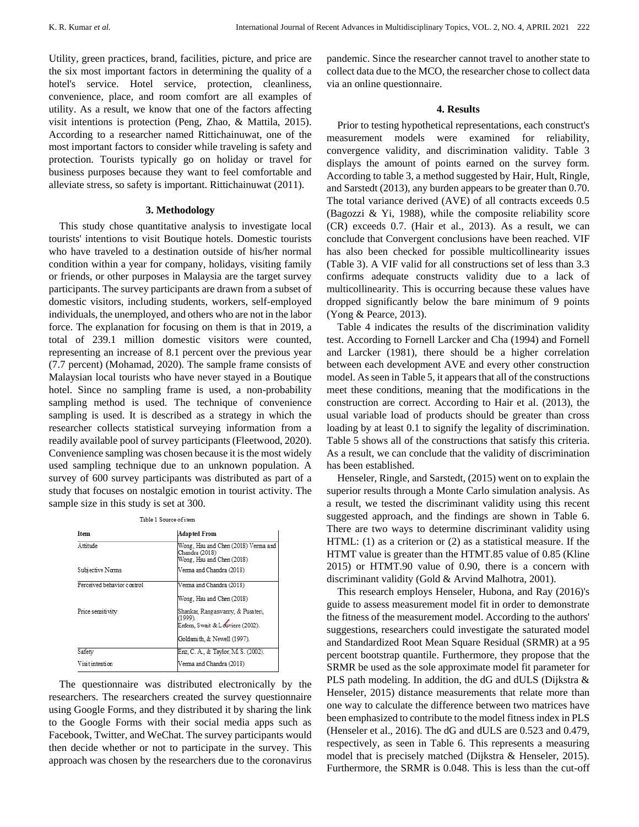Utility, green practices, brand, facilities, picture, and price are the six most important factors in determining the quality of a hotel's service. Hotel service, protection, cleanliness, convenience, place, and room comfort are all examples of utility. As a result, we know that one of the factors affecting visit intentions is protection (Peng, Zhao, & Mattila, 2015). According to a researcher named Rittichainuwat, one of the most important factors to consider while traveling is safety and protection. Tourists typically go on holiday or travel for business purposes because they want to feel comfortable and alleviate stress, so safety is important. Rittichainuwat (2011).

#### **3. Methodology**

This study chose quantitative analysis to investigate local tourists' intentions to visit Boutique hotels. Domestic tourists who have traveled to a destination outside of his/her normal condition within a year for company, holidays, visiting family or friends, or other purposes in Malaysia are the target survey participants. The survey participants are drawn from a subset of domestic visitors, including students, workers, self-employed individuals, the unemployed, and others who are not in the labor force. The explanation for focusing on them is that in 2019, a total of 239.1 million domestic visitors were counted, representing an increase of 8.1 percent over the previous year (7.7 percent) (Mohamad, 2020). The sample frame consists of Malaysian local tourists who have never stayed in a Boutique hotel. Since no sampling frame is used, a non-probability sampling method is used. The technique of convenience sampling is used. It is described as a strategy in which the researcher collects statistical surveying information from a readily available pool of survey participants (Fleetwood, 2020). Convenience sampling was chosen because it is the most widely used sampling technique due to an unknown population. A survey of 600 survey participants was distributed as part of a study that focuses on nostalgic emotion in tourist activity. The sample size in this study is set at 300.

| <b>I</b> tem               | <b>Adapted From</b>                                                                |
|----------------------------|------------------------------------------------------------------------------------|
| Attitude                   | Wong, Hsu and Chen (2018) Verma and<br>Chandra (2018)<br>Wong, Hsu and Chen (2018) |
| Subjective Norms           | Verma and Chandra (2018)                                                           |
| Perceived behavior control | Verma and Chandra (2018)                                                           |
|                            | Wong, Hsu and Chen (2018)                                                          |
| Price sensitivity          | Shankar, Rangaswamy, & Pusateri,<br>(1999)<br>Erdem, Swait & Louviere (2002).      |
|                            | Goldsmith, & Newell (1997).                                                        |
| Safety                     | Enz. C. A., & Taylor, M. S. (2002).                                                |
| Visit intention            | Verma and Chandra (2018)                                                           |

The questionnaire was distributed electronically by the researchers. The researchers created the survey questionnaire using Google Forms, and they distributed it by sharing the link to the Google Forms with their social media apps such as Facebook, Twitter, and WeChat. The survey participants would then decide whether or not to participate in the survey. This approach was chosen by the researchers due to the coronavirus

pandemic. Since the researcher cannot travel to another state to collect data due to the MCO, the researcher chose to collect data via an online questionnaire.

#### **4. Results**

Prior to testing hypothetical representations, each construct's measurement models were examined for reliability, convergence validity, and discrimination validity. Table 3 displays the amount of points earned on the survey form. According to table 3, a method suggested by Hair, Hult, Ringle, and Sarstedt (2013), any burden appears to be greater than 0.70. The total variance derived (AVE) of all contracts exceeds 0.5 (Bagozzi & Yi, 1988), while the composite reliability score (CR) exceeds 0.7. (Hair et al., 2013). As a result, we can conclude that Convergent conclusions have been reached. VIF has also been checked for possible multicollinearity issues (Table 3). A VIF valid for all constructions set of less than 3.3 confirms adequate constructs validity due to a lack of multicollinearity. This is occurring because these values have dropped significantly below the bare minimum of 9 points (Yong & Pearce, 2013).

Table 4 indicates the results of the discrimination validity test. According to Fornell Larcker and Cha (1994) and Fornell and Larcker (1981), there should be a higher correlation between each development AVE and every other construction model. As seen in Table 5, it appears that all of the constructions meet these conditions, meaning that the modifications in the construction are correct. According to Hair et al. (2013), the usual variable load of products should be greater than cross loading by at least 0.1 to signify the legality of discrimination. Table 5 shows all of the constructions that satisfy this criteria. As a result, we can conclude that the validity of discrimination has been established.

Henseler, Ringle, and Sarstedt, (2015) went on to explain the superior results through a Monte Carlo simulation analysis. As a result, we tested the discriminant validity using this recent suggested approach, and the findings are shown in Table 6. There are two ways to determine discriminant validity using HTML: (1) as a criterion or (2) as a statistical measure. If the HTMT value is greater than the HTMT.85 value of 0.85 (Kline 2015) or HTMT.90 value of 0.90, there is a concern with discriminant validity (Gold & Arvind Malhotra, 2001).

This research employs Henseler, Hubona, and Ray (2016)'s guide to assess measurement model fit in order to demonstrate the fitness of the measurement model. According to the authors' suggestions, researchers could investigate the saturated model and Standardized Root Mean Square Residual (SRMR) at a 95 percent bootstrap quantile. Furthermore, they propose that the SRMR be used as the sole approximate model fit parameter for PLS path modeling. In addition, the dG and dULS (Dijkstra & Henseler, 2015) distance measurements that relate more than one way to calculate the difference between two matrices have been emphasized to contribute to the model fitness index in PLS (Henseler et al., 2016). The dG and dULS are 0.523 and 0.479, respectively, as seen in Table 6. This represents a measuring model that is precisely matched (Dijkstra & Henseler, 2015). Furthermore, the SRMR is 0.048. This is less than the cut-off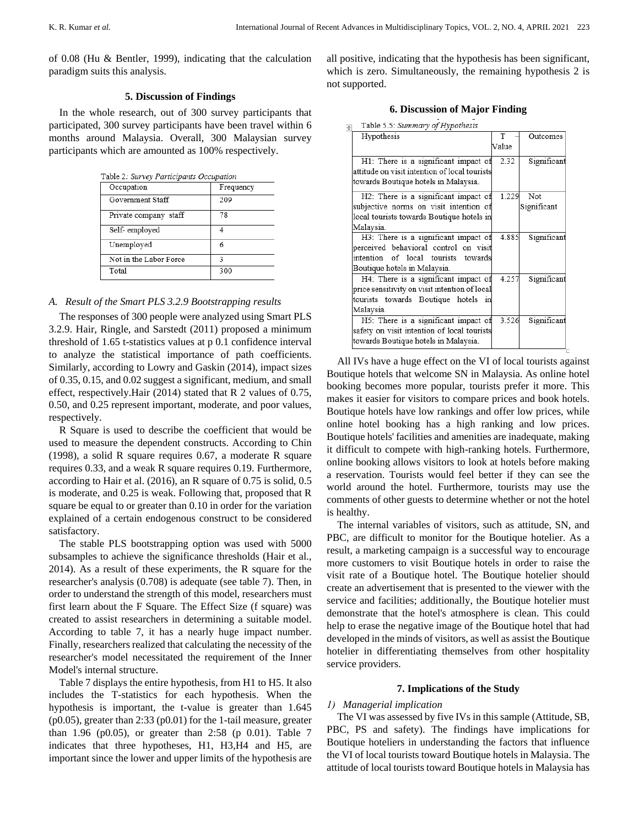of 0.08 (Hu & Bentler, 1999), indicating that the calculation paradigm suits this analysis.

# **5. Discussion of Findings**

In the whole research, out of 300 survey participants that participated, 300 survey participants have been travel within 6 months around Malaysia. Overall, 300 Malaysian survey participants which are amounted as 100% respectively.

| Table 2: Survey Participants Occupation |           |  |  |  |  |
|-----------------------------------------|-----------|--|--|--|--|
| Occupation                              | Frequency |  |  |  |  |
| Government Staff                        | 209       |  |  |  |  |
| Private company staff                   | 78        |  |  |  |  |
| Self-employed                           | 4         |  |  |  |  |
| Unemployed                              | 6         |  |  |  |  |
| Not in the Labor Force                  | 3         |  |  |  |  |
| Total                                   | 300       |  |  |  |  |

### *A. Result of the Smart PLS 3.2.9 Bootstrapping results*

The responses of 300 people were analyzed using Smart PLS 3.2.9. Hair, Ringle, and Sarstedt (2011) proposed a minimum threshold of 1.65 t-statistics values at p 0.1 confidence interval to analyze the statistical importance of path coefficients. Similarly, according to Lowry and Gaskin (2014), impact sizes of 0.35, 0.15, and 0.02 suggest a significant, medium, and small effect, respectively.Hair (2014) stated that R 2 values of 0.75, 0.50, and 0.25 represent important, moderate, and poor values, respectively.

R Square is used to describe the coefficient that would be used to measure the dependent constructs. According to Chin (1998), a solid R square requires 0.67, a moderate R square requires 0.33, and a weak R square requires 0.19. Furthermore, according to Hair et al. (2016), an R square of 0.75 is solid, 0.5 is moderate, and 0.25 is weak. Following that, proposed that R square be equal to or greater than 0.10 in order for the variation explained of a certain endogenous construct to be considered satisfactory.

The stable PLS bootstrapping option was used with 5000 subsamples to achieve the significance thresholds (Hair et al., 2014). As a result of these experiments, the R square for the researcher's analysis (0.708) is adequate (see table 7). Then, in order to understand the strength of this model, researchers must first learn about the F Square. The Effect Size (f square) was created to assist researchers in determining a suitable model. According to table 7, it has a nearly huge impact number. Finally, researchers realized that calculating the necessity of the researcher's model necessitated the requirement of the Inner Model's internal structure.

Table 7 displays the entire hypothesis, from H1 to H5. It also includes the T-statistics for each hypothesis. When the hypothesis is important, the t-value is greater than 1.645 (p0.05), greater than 2:33 (p0.01) for the 1-tail measure, greater than 1.96 (p0.05), or greater than 2:58 (p 0.01). Table 7 indicates that three hypotheses, H1, H3,H4 and H5, are important since the lower and upper limits of the hypothesis are

all positive, indicating that the hypothesis has been significant, which is zero. Simultaneously, the remaining hypothesis 2 is not supported.

|  | <b>6. Discussion of Major Finding</b> |  |  |  |
|--|---------------------------------------|--|--|--|
|--|---------------------------------------|--|--|--|

| Table 5.5: Summary of Hypothesis |  |  |
|----------------------------------|--|--|

| т                                             | Outcomes                |
|-----------------------------------------------|-------------------------|
| Value                                         |                         |
| H1: There is a significant impact of<br>2.32  | Significant             |
| attitude on visit intention of local tourists |                         |
|                                               |                         |
| H2: There is a significant impact of          | Not                     |
| subjective norms on visit intention of        | Significant             |
| local tourists towards Boutique hotels in     |                         |
|                                               |                         |
| H3: There is a significant impact of          | Significant             |
| perceived behavioral control on visit         |                         |
| intention of local tourists towards           |                         |
|                                               |                         |
| H4: There is a significant impact of<br>4.257 | Significant             |
| price sensitivity on visit intention of local |                         |
| tourists towards Boutique hotels in           |                         |
|                                               |                         |
| H5: There is a significant impact of          | Significant             |
| safety on visit intention of local tourists   |                         |
|                                               |                         |
|                                               | 1.229<br>4.885<br>3.526 |

All IVs have a huge effect on the VI of local tourists against Boutique hotels that welcome SN in Malaysia. As online hotel booking becomes more popular, tourists prefer it more. This makes it easier for visitors to compare prices and book hotels. Boutique hotels have low rankings and offer low prices, while online hotel booking has a high ranking and low prices. Boutique hotels' facilities and amenities are inadequate, making it difficult to compete with high-ranking hotels. Furthermore, online booking allows visitors to look at hotels before making a reservation. Tourists would feel better if they can see the world around the hotel. Furthermore, tourists may use the comments of other guests to determine whether or not the hotel is healthy.

The internal variables of visitors, such as attitude, SN, and PBC, are difficult to monitor for the Boutique hotelier. As a result, a marketing campaign is a successful way to encourage more customers to visit Boutique hotels in order to raise the visit rate of a Boutique hotel. The Boutique hotelier should create an advertisement that is presented to the viewer with the service and facilities; additionally, the Boutique hotelier must demonstrate that the hotel's atmosphere is clean. This could help to erase the negative image of the Boutique hotel that had developed in the minds of visitors, as well as assist the Boutique hotelier in differentiating themselves from other hospitality service providers.

#### **7. Implications of the Study**

## *1) Managerial implication*

The VI was assessed by five IVs in this sample (Attitude, SB, PBC, PS and safety). The findings have implications for Boutique hoteliers in understanding the factors that influence the VI of local tourists toward Boutique hotels in Malaysia. The attitude of local tourists toward Boutique hotels in Malaysia has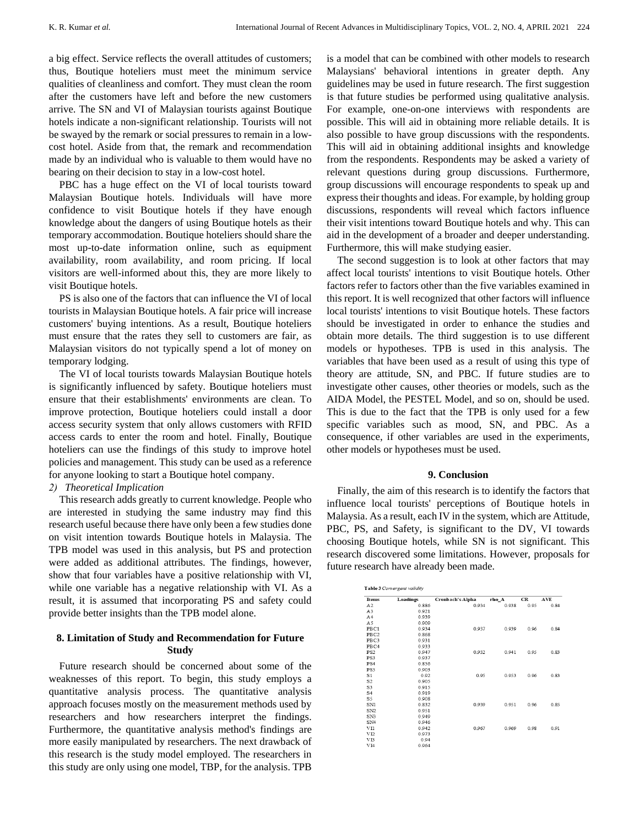a big effect. Service reflects the overall attitudes of customers; thus, Boutique hoteliers must meet the minimum service qualities of cleanliness and comfort. They must clean the room after the customers have left and before the new customers arrive. The SN and VI of Malaysian tourists against Boutique hotels indicate a non-significant relationship. Tourists will not be swayed by the remark or social pressures to remain in a lowcost hotel. Aside from that, the remark and recommendation made by an individual who is valuable to them would have no bearing on their decision to stay in a low-cost hotel.

PBC has a huge effect on the VI of local tourists toward Malaysian Boutique hotels. Individuals will have more confidence to visit Boutique hotels if they have enough knowledge about the dangers of using Boutique hotels as their temporary accommodation. Boutique hoteliers should share the most up-to-date information online, such as equipment availability, room availability, and room pricing. If local visitors are well-informed about this, they are more likely to visit Boutique hotels.

PS is also one of the factors that can influence the VI of local tourists in Malaysian Boutique hotels. A fair price will increase customers' buying intentions. As a result, Boutique hoteliers must ensure that the rates they sell to customers are fair, as Malaysian visitors do not typically spend a lot of money on temporary lodging.

The VI of local tourists towards Malaysian Boutique hotels is significantly influenced by safety. Boutique hoteliers must ensure that their establishments' environments are clean. To improve protection, Boutique hoteliers could install a door access security system that only allows customers with RFID access cards to enter the room and hotel. Finally, Boutique hoteliers can use the findings of this study to improve hotel policies and management. This study can be used as a reference for anyone looking to start a Boutique hotel company.

#### *2) Theoretical Implication*

This research adds greatly to current knowledge. People who are interested in studying the same industry may find this research useful because there have only been a few studies done on visit intention towards Boutique hotels in Malaysia. The TPB model was used in this analysis, but PS and protection were added as additional attributes. The findings, however, show that four variables have a positive relationship with VI, while one variable has a negative relationship with VI. As a result, it is assumed that incorporating PS and safety could provide better insights than the TPB model alone.

# **8. Limitation of Study and Recommendation for Future Study**

Future research should be concerned about some of the weaknesses of this report. To begin, this study employs a quantitative analysis process. The quantitative analysis approach focuses mostly on the measurement methods used by researchers and how researchers interpret the findings. Furthermore, the quantitative analysis method's findings are more easily manipulated by researchers. The next drawback of this research is the study model employed. The researchers in this study are only using one model, TBP, for the analysis. TPB

is a model that can be combined with other models to research Malaysians' behavioral intentions in greater depth. Any guidelines may be used in future research. The first suggestion is that future studies be performed using qualitative analysis. For example, one-on-one interviews with respondents are possible. This will aid in obtaining more reliable details. It is also possible to have group discussions with the respondents. This will aid in obtaining additional insights and knowledge from the respondents. Respondents may be asked a variety of relevant questions during group discussions. Furthermore, group discussions will encourage respondents to speak up and express their thoughts and ideas. For example, by holding group discussions, respondents will reveal which factors influence their visit intentions toward Boutique hotels and why. This can aid in the development of a broader and deeper understanding. Furthermore, this will make studying easier.

The second suggestion is to look at other factors that may affect local tourists' intentions to visit Boutique hotels. Other factors refer to factors other than the five variables examined in this report. It is well recognized that other factors will influence local tourists' intentions to visit Boutique hotels. These factors should be investigated in order to enhance the studies and obtain more details. The third suggestion is to use different models or hypotheses. TPB is used in this analysis. The variables that have been used as a result of using this type of theory are attitude, SN, and PBC. If future studies are to investigate other causes, other theories or models, such as the AIDA Model, the PESTEL Model, and so on, should be used. This is due to the fact that the TPB is only used for a few specific variables such as mood, SN, and PBC. As a consequence, if other variables are used in the experiments, other models or hypotheses must be used.

#### **9. Conclusion**

Finally, the aim of this research is to identify the factors that influence local tourists' perceptions of Boutique hotels in Malaysia. As a result, each IV in the system, which are Attitude, PBC, PS, and Safety, is significant to the DV, VI towards choosing Boutique hotels, while SN is not significant. This research discovered some limitations. However, proposals for future research have already been made.

| Items            | Loadings | Cronbach's Alpha | rho A | CR   | AVE  |
|------------------|----------|------------------|-------|------|------|
| A2               | 0.886    | 0.934            | 0.938 | 0.95 | 0.84 |
| A <sub>3</sub>   | 0.921    |                  |       |      |      |
| A <sub>4</sub>   | 0.939    |                  |       |      |      |
| A5               | 0.909    |                  |       |      |      |
| PBC1             | 0.934    | 0.937            | 0.939 | 0.96 | 0.84 |
| PBC <sub>2</sub> | 0.868    |                  |       |      |      |
| PBC3             | 0.931    |                  |       |      |      |
| PBC <sub>4</sub> | 0.933    |                  |       |      |      |
| PS <sub>2</sub>  | 0.947    | 0.932            | 0.941 | 0.95 | 0.83 |
| PS3              | 0.937    |                  |       |      |      |
| PS <sub>4</sub>  | 0.856    |                  |       |      |      |
| PS5              | 0.903    |                  |       |      |      |
| S1               | 0.92     | 0.95             | 0.953 | 0.96 | 0.83 |
| S <sub>2</sub>   | 0.905    |                  |       |      |      |
| S <sub>3</sub>   | 0.915    |                  |       |      |      |
| S <sub>4</sub>   | 0.919    |                  |       |      |      |
| S5               | 0.908    |                  |       |      |      |
| SN1              | 0.832    | 0.939            | 0.951 | 0.96 | 0.85 |
| SN <sub>2</sub>  | 0.951    |                  |       |      |      |
| SN3              | 0.949    |                  |       |      |      |
| SN <sub>4</sub>  | 0.946    |                  |       |      |      |
| VI1              | 0.942    | 0.967            | 0.969 | 0.98 | 0.91 |
| VI <sub>2</sub>  | 0.973    |                  |       |      |      |
| VB               | 0.94     |                  |       |      |      |
| VI <sub>4</sub>  | 0.964    |                  |       |      |      |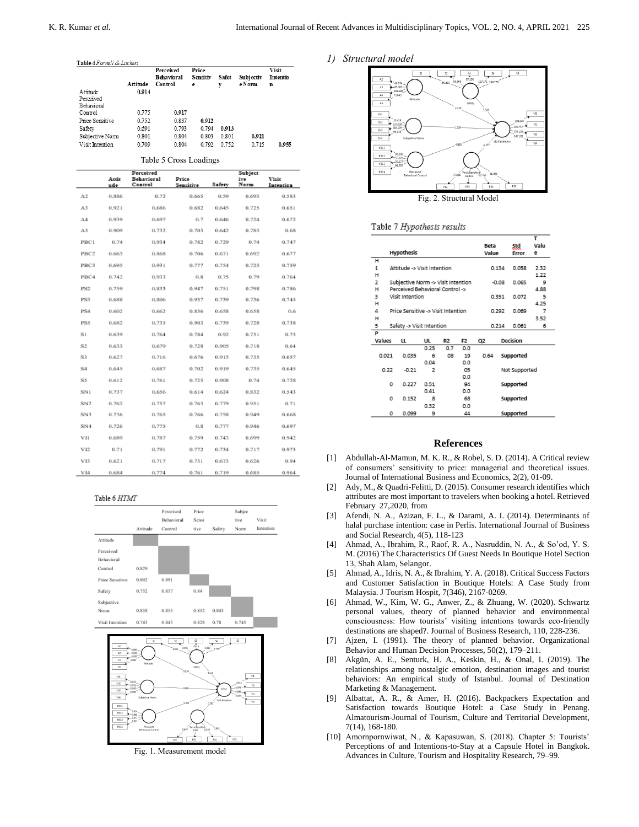#### *1) Structural model*



Table 5 Cross Loadings

|                 | Perceived    |                       |                    | Subject |             |                    |  |
|-----------------|--------------|-----------------------|--------------------|---------|-------------|--------------------|--|
|                 | Attit<br>ude | Behavioral<br>Control | Price<br>Sensitive | Safety  | ive<br>Norm | Visit<br>Intention |  |
|                 |              |                       |                    |         |             |                    |  |
| A2              | 0.886        | 0.72                  | 0.665              | 0.59    | 0.693       | 0.583              |  |
| A3              | 0.921        | 0.686                 | 0.682              | 0.645   | 0.725       | 0.651              |  |
| AA              | 0.939        | 0.697                 | 0.7                | 0.646   | 0.724       | 0.672              |  |
| A5              | 0.909        | 0.732                 | 0.703              | 0.642   | 0.783       | 0.68               |  |
| PBC1            | 0.74         | 0.934                 | 0.782              | 0.729   | 0.74        | 0.747              |  |
| PBC2            | 0.663        | 0.868                 | 0.706              | 0.671   | 0.692       | 0.677              |  |
| PBC3            | 0.695        | 0.931                 | 0.777              | 0.754   | 0.723       | 0.759              |  |
| PBC4            | 0.742        | 0.933                 | 0.8                | 0.75    | 0.79        | 0.764              |  |
| PS <sub>2</sub> | 0.759        | 0.833                 | 0.947              | 0.751   | 0.798       | 0.786              |  |
| PS3             | 0.688        | 0.806                 | 0.937              | 0.739   | 0.736       | 0.745              |  |
| PS4             | 0.602        | 0.662                 | 0.856              | 0.658   | 0.658       | 0.6                |  |
| <b>PSS</b>      | 0.682        | 0.735                 | 0.903              | 0.739   | 0.728       | 0.738              |  |
| SL              | 0.639        | 0.764                 | 0.784              | 0.92    | 0.731       | 0.75               |  |
| S <sub>2</sub>  | 0.633        | 0.679                 | 0.728              | 0.905   | 0.718       | 0.64               |  |
| S3              | 0.627        | 0.716                 | 0.676              | 0.915   | 0.735       | 0.657              |  |
| S <sub>4</sub>  | 0.645        | 0.687                 | 0.702              | 0.919   | 0.735       | 0.645              |  |
| S5              | 0.612        | 0.761                 | 0.725              | 0.908   | 0.74        | 0.728              |  |
| SN1             | 0.737        | 0.656                 | 0.614              | 0.624   | 0.832       | 0.543              |  |
| SN <sub>2</sub> | 0.762        | 0.757                 | 0.763              | 0.779   | 0.951       | 0.71               |  |
| SN3             | 0.736        | 0.765                 | 0.766              | 0.758   | 0.949       | 0.668              |  |
| SN <sub>4</sub> | 0.726        | 0.775                 | 0.8                | 0.777   | 0.946       | 0.697              |  |
| VII             | 0.689        | 0.787                 | 0.759              | 0.743   | 0.699       | 0.942              |  |
| VI2             | 0.71         | 0.791                 | 0.772              | 0.734   | 0.717       | 0.973              |  |
| VI3             | 0.621        | 0.717                 | 0.731              | 0.673   | 0.626       | 0.94               |  |
| VI4             | 0.684        | 0.774                 | 0.761              | 0.719   | 0.685       | 0.964              |  |
|                 |              |                       |                    |         |             |                    |  |

#### Table 6 HTMT





Fig. 1. Measurement model



## Table 7 Hypothesis results

|             |                                    |                                    |                |                |     |           |                               |           | ٠         |  |
|-------------|------------------------------------|------------------------------------|----------------|----------------|-----|-----------|-------------------------------|-----------|-----------|--|
|             | Hypothesis                         |                                    |                |                |     |           | Std<br>Beta<br>Value<br>Error |           | Valu<br>е |  |
| н           |                                    |                                    |                |                |     |           |                               |           |           |  |
| 1           | Attitude -> Visit Intention        |                                    |                |                |     |           | 0.134                         | 0.058     | 2.32      |  |
| н           |                                    |                                    |                |                |     |           |                               |           | 1.22      |  |
| 2           |                                    | Subjective Norm -> Visit Intention |                |                |     |           | $-0.08$<br>0.065              |           | 9         |  |
| н           | Perceived Behavioral Control ->    |                                    |                |                |     |           |                               |           | 4.88      |  |
| 3           |                                    | Visit Intention                    |                |                |     |           | 0.351                         | 0.072     | 5         |  |
| н           |                                    |                                    |                |                |     |           |                               | 4.25      |           |  |
| 4           | Price Sensitive -> Visit Intention |                                    |                |                |     |           | 0.292                         | 0.069     | 7         |  |
| н           |                                    |                                    |                |                |     |           |                               |           | 3.52      |  |
| 5           | Safety -> Visit Intention          |                                    |                |                |     |           | 0.214                         | 0.061     | 6         |  |
| P           |                                    |                                    |                |                |     |           |                               |           |           |  |
| Values<br>ш |                                    | UL                                 | R <sub>2</sub> | F <sub>2</sub> | Q2  |           | Decision                      |           |           |  |
|             |                                    |                                    | 0.25           | 0.7            | 0.0 |           |                               |           |           |  |
| 0.021       |                                    | 0.035                              | 6              | 08             | 19  | 0.64      |                               | Supported |           |  |
|             |                                    |                                    | 0.04           |                | 0.0 |           |                               |           |           |  |
|             | 0.22<br>$-0.21$                    |                                    | 2              | 05             |     |           | Not Supported                 |           |           |  |
|             |                                    |                                    |                |                | 0.0 |           |                               |           |           |  |
|             | o                                  | 0.227                              | 0.51           |                | 94  |           |                               | Supported |           |  |
|             |                                    |                                    | 0.41           |                | 0.0 |           |                               |           |           |  |
|             | o                                  | 0.152                              | 8              |                | 68  |           |                               | Supported |           |  |
|             |                                    |                                    | 0.32           |                | 0.0 |           |                               |           |           |  |
|             | o<br>44<br>0.099<br>9              |                                    |                |                |     | Supported |                               |           |           |  |

#### **References**

- [1] Abdullah-Al-Mamun, M. K. R., & Robel, S. D. (2014). A Critical review of consumers' sensitivity to price: managerial and theoretical issues. Journal of International Business and Economics, 2(2), 01-09.
- [2] Ady, M., & Quadri-Felitti, D. (2015). Consumer research identifies which attributes are most important to travelers when booking a hotel. Retrieved February 27,2020, from
- [3] Afendi, N. A., Azizan, F. L., & Darami, A. I. (2014). Determinants of halal purchase intention: case in Perlis. International Journal of Business and Social Research, 4(5), 118-123
- [4] Ahmad, A., Ibrahim, R., Raof, R. A., Nasruddin, N. A., & So'od, Y. S. M. (2016) The Characteristics Of Guest Needs In Boutique Hotel Section 13, Shah Alam, Selangor.
- [5] Ahmad, A., Idris, N. A., & Ibrahim, Y. A. (2018). Critical Success Factors and Customer Satisfaction in Boutique Hotels: A Case Study from Malaysia. J Tourism Hospit, 7(346), 2167-0269.
- [6] Ahmad, W., Kim, W. G., Anwer, Z., & Zhuang, W. (2020). Schwartz personal values, theory of planned behavior and environmental consciousness: How tourists' visiting intentions towards eco-friendly destinations are shaped?. Journal of Business Research, 110, 228-236.
- [7] Ajzen, I. (1991). The theory of planned behavior. Organizational Behavior and Human Decision Processes, 50(2), 179–211.
- [8] Akgün, A. E., Senturk, H. A., Keskin, H., & Onal, I. (2019). The relationships among nostalgic emotion, destination images and tourist behaviors: An empirical study of Istanbul. Journal of Destination Marketing & Management.
- [9] Albattat, A. R., & Amer, H. (2016). Backpackers Expectation and Satisfaction towards Boutique Hotel: a Case Study in Penang. Almatourism-Journal of Tourism, Culture and Territorial Development, 7(14), 168-180.
- [10] Amornpornwiwat, N., & Kapasuwan, S. (2018). Chapter 5: Tourists' Perceptions of and Intentions-to-Stay at a Capsule Hotel in Bangkok. Advances in Culture, Tourism and Hospitality Research, 79–99.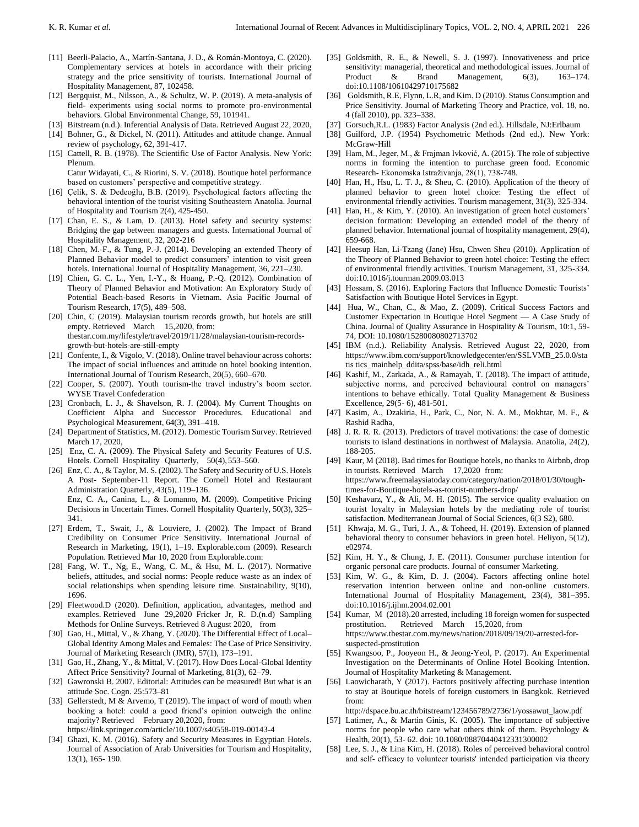- [11] Beerli-Palacio, A., Martín-Santana, J. D., & Román-Montoya, C. (2020). Complementary services at hotels in accordance with their pricing strategy and the price sensitivity of tourists. International Journal of Hospitality Management, 87, 102458.
- [12] Bergquist, M., Nilsson, A., & Schultz, W. P. (2019). A meta-analysis of field- experiments using social norms to promote pro-environmental behaviors. Global Environmental Change, 59, 101941.
- [13] Bitstream (n.d.). Inferential Analysis of Data. Retrieved August 22, 2020,
- [14] Bohner, G., & Dickel, N. (2011). Attitudes and attitude change. Annual review of psychology, 62, 391-417.
- [15] Cattell, R. B. (1978). The Scientific Use of Factor Analysis. New York: Plenum.

Catur Widayati, C., & Riorini, S. V. (2018). Boutique hotel performance based on customers' perspective and competitive strategy.

- [16] Çelik, S. & Dedeoğlu, B.B. (2019). Psychological factors affecting the behavioral intention of the tourist visiting Southeastern Anatolia. Journal of Hospitality and Tourism 2(4), 425-450.
- [17] Chan, E. S., & Lam, D. (2013). Hotel safety and security systems: Bridging the gap between managers and guests. International Journal of Hospitality Management, 32, 202-216
- [18] Chen, M.-F., & Tung, P.-J. (2014). Developing an extended Theory of Planned Behavior model to predict consumers' intention to visit green hotels. International Journal of Hospitality Management, 36, 221–230.
- [19] Chien, G. C. L., Yen, I.-Y., & Hoang, P.-Q. (2012). Combination of Theory of Planned Behavior and Motivation: An Exploratory Study of Potential Beach-based Resorts in Vietnam. Asia Pacific Journal of Tourism Research, 17(5), 489–508.
- [20] Chin, C (2019). Malaysian tourism records growth, but hotels are still empty. Retrieved March 15,2020, from: thestar.com.my/lifestyle/travel/2019/11/28/malaysian-tourism-recordsgrowth-but-hotels-are-still-empty
- [21] Confente, I., & Vigolo, V. (2018). Online travel behaviour across cohorts: The impact of social influences and attitude on hotel booking intention. International Journal of Tourism Research, 20(5), 660–670.
- [22] Cooper, S. (2007). Youth tourism-the travel industry's boom sector. WYSE Travel Confederation
- [23] Cronbach, L. J., & Shavelson, R. J. (2004). My Current Thoughts on Coefficient Alpha and Successor Procedures. Educational and Psychological Measurement, 64(3), 391–418.
- [24] Department of Statistics, M. (2012). Domestic Tourism Survey. Retrieved March 17, 2020,
- [25] Enz, C. A. (2009). The Physical Safety and Security Features of U.S. Hotels. Cornell Hospitality Quarterly, 50(4),553–560.
- [26] Enz, C. A., & Taylor, M. S. (2002). The Safety and Security of U.S. Hotels A Post- September-11 Report. The Cornell Hotel and Restaurant Administration Quarterly, 43(5), 119–136. Enz, C. A., Canina, L., & Lomanno, M. (2009). Competitive Pricing Decisions in Uncertain Times. Cornell Hospitality Quarterly, 50(3), 325– 341.
- [27] Erdem, T., Swait, J., & Louviere, J. (2002). The Impact of Brand Credibility on Consumer Price Sensitivity. International Journal of Research in Marketing, 19(1), 1–19. Explorable.com (2009). Research Population. Retrieved Mar 10, 2020 from Explorable.com:
- [28] Fang, W. T., Ng, E., Wang, C. M., & Hsu, M. L. (2017). Normative beliefs, attitudes, and social norms: People reduce waste as an index of social relationships when spending leisure time. Sustainability, 9(10), 1696.
- [29] Fleetwood.D (2020). Definition, application, advantages, method and examples. Retrieved June 29,2020 Fricker Jr, R. D.(n.d) Sampling Methods for Online Surveys. Retrieved 8 August 2020, from
- [30] Gao, H., Mittal, V., & Zhang, Y. (2020). The Differential Effect of Local– Global Identity Among Males and Females: The Case of Price Sensitivity. Journal of Marketing Research (JMR), 57(1), 173–191.
- [31] Gao, H., Zhang, Y., & Mittal, V. (2017). How Does Local-Global Identity Affect Price Sensitivity? Journal of Marketing, 81(3), 62–79.
- [32] Gawronski B. 2007. Editorial: Attitudes can be measured! But what is an attitude Soc. Cogn. 25:573–81
- [33] Gellerstedt, M & Arvemo, T (2019). The impact of word of mouth when booking a hotel: could a good friend's opinion outweigh the online majority? Retrieved February 20,2020, from:

https://link.springer.com/article/10.1007/s40558-019-00143-4

[34] Ghazi, K. M. (2016). Safety and Security Measures in Egyptian Hotels. Journal of Association of Arab Universities for Tourism and Hospitality, 13(1), 165- 190.

- [35] Goldsmith, R. E., & Newell, S. J. (1997). Innovativeness and price sensitivity: managerial, theoretical and methodological issues. Journal of Product & Brand Management, 6(3), 163–174. Product & Brand Management,  $6(3)$ , doi:10.1108/10610429710175682
- [36] Goldsmith, R.E, Flynn, L.R, and Kim. D (2010). Status Consumption and Price Sensitivity. Journal of Marketing Theory and Practice, vol. 18, no. 4 (fall 2010), pp. 323–338.
- [37] Gorsuch,R.L. (1983) Factor Analysis (2nd ed.). Hillsdale, NJ:Erlbaum
- [38] Guilford, J.P. (1954) Psychometric Methods (2nd ed.). New York: McGraw-Hill
- [39] Ham, M., Jeger, M., & Frajman Ivković, A. (2015). The role of subjective norms in forming the intention to purchase green food. Economic Research- Ekonomska Istraživanja, 28(1), 738-748.
- [40] Han, H., Hsu, L. T. J., & Sheu, C. (2010). Application of the theory of planned behavior to green hotel choice: Testing the effect of environmental friendly activities. Tourism management, 31(3), 325-334.
- [41] Han, H., & Kim, Y. (2010). An investigation of green hotel customers' decision formation: Developing an extended model of the theory of planned behavior. International journal of hospitality management, 29(4), 659-668.
- [42] Heesup Han, Li-Tzang (Jane) Hsu, Chwen Sheu (2010). Application of the Theory of Planned Behavior to green hotel choice: Testing the effect of environmental friendly activities. Tourism Management, 31, 325-334. doi:10.1016/j.tourman.2009.03.013
- [43] Hossam, S. (2016). Exploring Factors that Influence Domestic Tourists' Satisfaction with Boutique Hotel Services in Egypt.
- [44] Hua, W., Chan, C., & Mao, Z. (2009). Critical Success Factors and Customer Expectation in Boutique Hotel Segment — A Case Study of China. Journal of Quality Assurance in Hospitality & Tourism, 10:1, 59- 74, DOI: 10.1080/15280080802713702
- [45] IBM (n.d.). Reliability Analysis. Retrieved August 22, 2020, from https://www.ibm.com/support/knowledgecenter/en/SSLVMB\_25.0.0/sta tis tics\_mainhelp\_ddita/spss/base/idh\_reli.html
- [46] Kashif, M., Zarkada, A., & Ramayah, T. (2018). The impact of attitude, subjective norms, and perceived behavioural control on managers' intentions to behave ethically. Total Quality Management & Business Excellence, 29(5- 6), 481-501.
- [47] Kasim, A., Dzakiria, H., Park, C., Nor, N. A. M., Mokhtar, M. F., & Rashid Radha,
- [48] J. R. R. R. (2013). Predictors of travel motivations: the case of domestic tourists to island destinations in northwest of Malaysia. Anatolia, 24(2), 188-205.
- [49] Kaur, M (2018). Bad times for Boutique hotels, no thanks to Airbnb, drop in tourists. Retrieved March 17,2020 from: https://www.freemalaysiatoday.com/category/nation/2018/01/30/toughtimes-for-Boutique-hotels-as-tourist-numbers-drop/
- [50] Keshavarz, Y., & Ali, M. H. (2015). The service quality evaluation on tourist loyalty in Malaysian hotels by the mediating role of tourist satisfaction. Mediterranean Journal of Social Sciences, 6(3 S2), 680.
- [51] Khwaja, M. G., Turi, J. A., & Toheed, H. (2019). Extension of planned behavioral theory to consumer behaviors in green hotel. Heliyon, 5(12), e02974.
- [52] Kim, H. Y., & Chung, J. E. (2011). Consumer purchase intention for organic personal care products. Journal of consumer Marketing.
- [53] Kim, W. G., & Kim, D. J. (2004). Factors affecting online hotel reservation intention between online and non-online customers. International Journal of Hospitality Management, 23(4), 381–395. doi:10.1016/j.ijhm.2004.02.001
- [54] Kumar, M (2018).20 arrested, including 18 foreign women for suspected prostitution. Retrieved March 15,2020, from https://www.thestar.com.my/news/nation/2018/09/19/20-arrested-forsuspected-prostitution
- [55] Kwangsoo, P., Jooyeon H., & Jeong-Yeol, P. (2017). An Experimental Investigation on the Determinants of Online Hotel Booking Intention. Journal of Hospitality Marketing & Management.
- [56] Laowicharath, Y (2017). Factors positively affecting purchase intention to stay at Boutique hotels of foreign customers in Bangkok. Retrieved from:

http://dspace.bu.ac.th/bitstream/123456789/2736/1/yossawut\_laow.pdf

- [57] Latimer, A., & Martin Ginis, K. (2005). The importance of subjective norms for people who care what others think of them. Psychology & Health, 20(1), 53- 62. doi: 10.1080/08870440412331300002
- [58] Lee, S. J., & Lina Kim, H. (2018). Roles of perceived behavioral control and self‐ efficacy to volunteer tourists' intended participation via theory